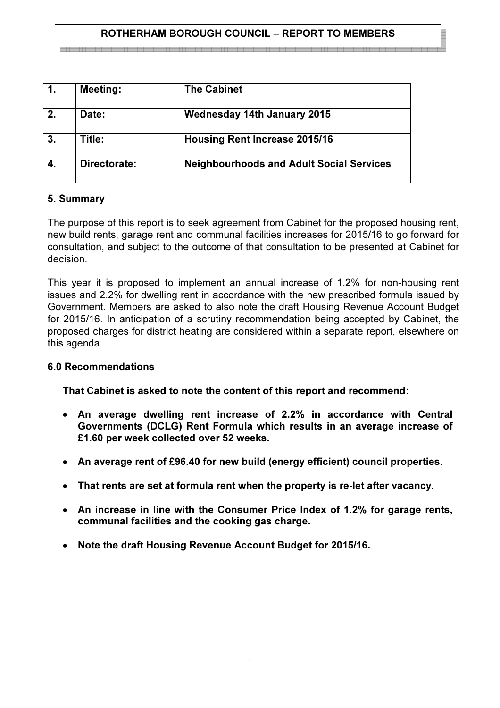### ROTHERHAM BOROUGH COUNCIL – REPORT TO MEMBERS

|    | <b>Meeting:</b> | <b>The Cabinet</b>                              |
|----|-----------------|-------------------------------------------------|
| 2. | Date:           | <b>Wednesday 14th January 2015</b>              |
| 3. | Title:          | <b>Housing Rent Increase 2015/16</b>            |
|    | Directorate:    | <b>Neighbourhoods and Adult Social Services</b> |

#### 5. Summary

The purpose of this report is to seek agreement from Cabinet for the proposed housing rent, new build rents, garage rent and communal facilities increases for 2015/16 to go forward for consultation, and subject to the outcome of that consultation to be presented at Cabinet for decision.

This year it is proposed to implement an annual increase of 1.2% for non-housing rent issues and 2.2% for dwelling rent in accordance with the new prescribed formula issued by Government. Members are asked to also note the draft Housing Revenue Account Budget for 2015/16. In anticipation of a scrutiny recommendation being accepted by Cabinet, the proposed charges for district heating are considered within a separate report, elsewhere on this agenda.

#### 6.0 Recommendations

That Cabinet is asked to note the content of this report and recommend:

- An average dwelling rent increase of 2.2% in accordance with Central Governments (DCLG) Rent Formula which results in an average increase of £1.60 per week collected over 52 weeks.
- An average rent of £96.40 for new build (energy efficient) council properties.
- That rents are set at formula rent when the property is re-let after vacancy.
- An increase in line with the Consumer Price Index of 1.2% for garage rents, communal facilities and the cooking gas charge.
- Note the draft Housing Revenue Account Budget for 2015/16.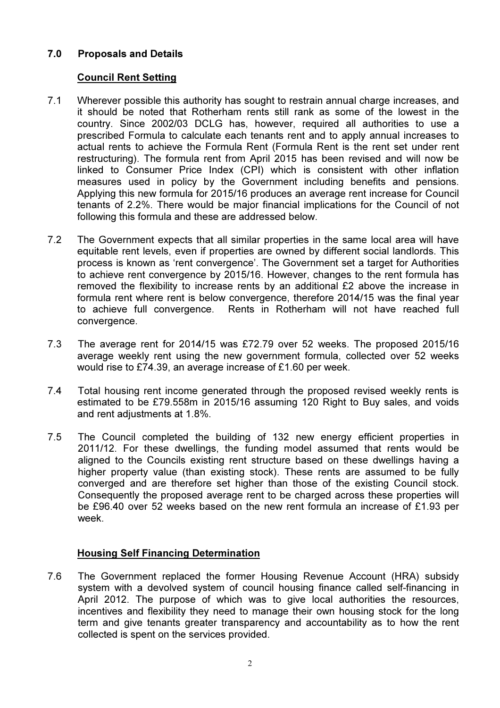# 7.0 Proposals and Details

## Council Rent Setting

- 7.1 Wherever possible this authority has sought to restrain annual charge increases, and it should be noted that Rotherham rents still rank as some of the lowest in the country. Since 2002/03 DCLG has, however, required all authorities to use a prescribed Formula to calculate each tenants rent and to apply annual increases to actual rents to achieve the Formula Rent (Formula Rent is the rent set under rent restructuring). The formula rent from April 2015 has been revised and will now be linked to Consumer Price Index (CPI) which is consistent with other inflation measures used in policy by the Government including benefits and pensions. Applying this new formula for 2015/16 produces an average rent increase for Council tenants of 2.2%. There would be major financial implications for the Council of not following this formula and these are addressed below.
- 7.2 The Government expects that all similar properties in the same local area will have equitable rent levels, even if properties are owned by different social landlords. This process is known as 'rent convergence'. The Government set a target for Authorities to achieve rent convergence by 2015/16. However, changes to the rent formula has removed the flexibility to increase rents by an additional £2 above the increase in formula rent where rent is below convergence, therefore 2014/15 was the final year to achieve full convergence. Rents in Rotherham will not have reached full convergence.
- 7.3 The average rent for 2014/15 was £72.79 over 52 weeks. The proposed 2015/16 average weekly rent using the new government formula, collected over 52 weeks would rise to £74.39, an average increase of £1.60 per week.
- 7.4 Total housing rent income generated through the proposed revised weekly rents is estimated to be £79.558m in 2015/16 assuming 120 Right to Buy sales, and voids and rent adjustments at 1.8%.
- 7.5 The Council completed the building of 132 new energy efficient properties in 2011/12. For these dwellings, the funding model assumed that rents would be aligned to the Councils existing rent structure based on these dwellings having a higher property value (than existing stock). These rents are assumed to be fully converged and are therefore set higher than those of the existing Council stock. Consequently the proposed average rent to be charged across these properties will be £96.40 over 52 weeks based on the new rent formula an increase of £1.93 per week.

## Housing Self Financing Determination

7.6 The Government replaced the former Housing Revenue Account (HRA) subsidy system with a devolved system of council housing finance called self-financing in April 2012. The purpose of which was to give local authorities the resources, incentives and flexibility they need to manage their own housing stock for the long term and give tenants greater transparency and accountability as to how the rent collected is spent on the services provided.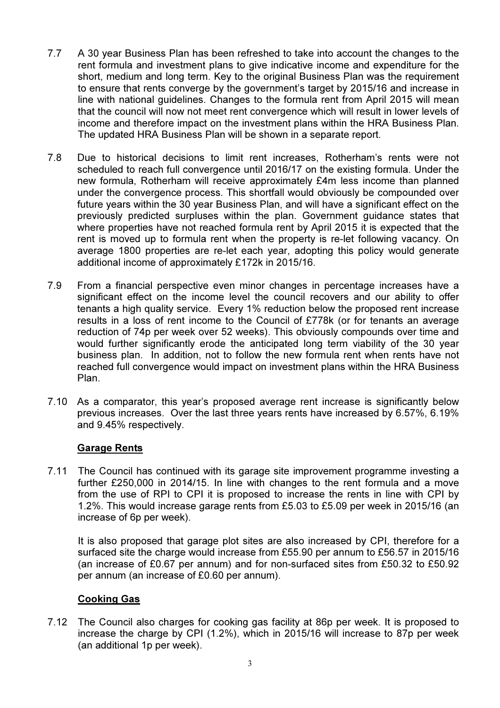- 7.7 A 30 year Business Plan has been refreshed to take into account the changes to the rent formula and investment plans to give indicative income and expenditure for the short, medium and long term. Key to the original Business Plan was the requirement to ensure that rents converge by the government's target by 2015/16 and increase in line with national guidelines. Changes to the formula rent from April 2015 will mean that the council will now not meet rent convergence which will result in lower levels of income and therefore impact on the investment plans within the HRA Business Plan. The updated HRA Business Plan will be shown in a separate report.
- 7.8 Due to historical decisions to limit rent increases, Rotherham's rents were not scheduled to reach full convergence until 2016/17 on the existing formula. Under the new formula, Rotherham will receive approximately £4m less income than planned under the convergence process. This shortfall would obviously be compounded over future years within the 30 year Business Plan, and will have a significant effect on the previously predicted surpluses within the plan. Government guidance states that where properties have not reached formula rent by April 2015 it is expected that the rent is moved up to formula rent when the property is re-let following vacancy. On average 1800 properties are re-let each year, adopting this policy would generate additional income of approximately £172k in 2015/16.
- 7.9 From a financial perspective even minor changes in percentage increases have a significant effect on the income level the council recovers and our ability to offer tenants a high quality service. Every 1% reduction below the proposed rent increase results in a loss of rent income to the Council of £778k (or for tenants an average reduction of 74p per week over 52 weeks). This obviously compounds over time and would further significantly erode the anticipated long term viability of the 30 year business plan. In addition, not to follow the new formula rent when rents have not reached full convergence would impact on investment plans within the HRA Business Plan.
- 7.10 As a comparator, this year's proposed average rent increase is significantly below previous increases. Over the last three years rents have increased by 6.57%, 6.19% and 9.45% respectively.

#### Garage Rents

7.11 The Council has continued with its garage site improvement programme investing a further £250,000 in 2014/15. In line with changes to the rent formula and a move from the use of RPI to CPI it is proposed to increase the rents in line with CPI by 1.2%. This would increase garage rents from £5.03 to £5.09 per week in 2015/16 (an increase of 6p per week).

It is also proposed that garage plot sites are also increased by CPI, therefore for a surfaced site the charge would increase from £55.90 per annum to £56.57 in 2015/16 (an increase of £0.67 per annum) and for non-surfaced sites from £50.32 to £50.92 per annum (an increase of £0.60 per annum).

#### Cooking Gas

7.12 The Council also charges for cooking gas facility at 86p per week. It is proposed to increase the charge by CPI (1.2%), which in 2015/16 will increase to 87p per week (an additional 1p per week).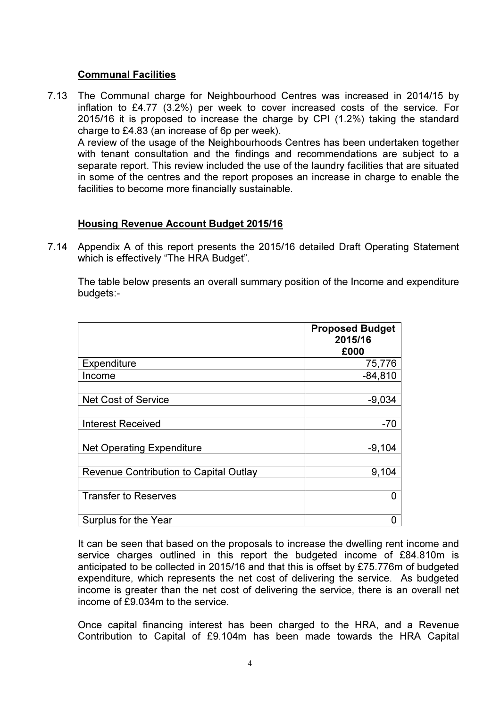#### Communal Facilities

7.13 The Communal charge for Neighbourhood Centres was increased in 2014/15 by inflation to £4.77 (3.2%) per week to cover increased costs of the service. For 2015/16 it is proposed to increase the charge by CPI (1.2%) taking the standard charge to £4.83 (an increase of 6p per week).

 A review of the usage of the Neighbourhoods Centres has been undertaken together with tenant consultation and the findings and recommendations are subject to a separate report. This review included the use of the laundry facilities that are situated in some of the centres and the report proposes an increase in charge to enable the facilities to become more financially sustainable.

#### Housing Revenue Account Budget 2015/16

7.14 Appendix A of this report presents the 2015/16 detailed Draft Operating Statement which is effectively "The HRA Budget".

The table below presents an overall summary position of the Income and expenditure budgets:-

|                                               | <b>Proposed Budget</b><br>2015/16<br>£000 |
|-----------------------------------------------|-------------------------------------------|
| <b>Expenditure</b>                            | 75,776                                    |
| Income                                        | $-84,810$                                 |
|                                               |                                           |
| <b>Net Cost of Service</b>                    | $-9,034$                                  |
|                                               |                                           |
| <b>Interest Received</b>                      | $-70$                                     |
|                                               |                                           |
| <b>Net Operating Expenditure</b>              | $-9,104$                                  |
|                                               |                                           |
| <b>Revenue Contribution to Capital Outlay</b> | 9,104                                     |
|                                               |                                           |
| <b>Transfer to Reserves</b>                   | 0                                         |
|                                               |                                           |
| Surplus for the Year                          |                                           |

It can be seen that based on the proposals to increase the dwelling rent income and service charges outlined in this report the budgeted income of £84.810m is anticipated to be collected in 2015/16 and that this is offset by £75.776m of budgeted expenditure, which represents the net cost of delivering the service. As budgeted income is greater than the net cost of delivering the service, there is an overall net income of £9.034m to the service.

Once capital financing interest has been charged to the HRA, and a Revenue Contribution to Capital of £9.104m has been made towards the HRA Capital